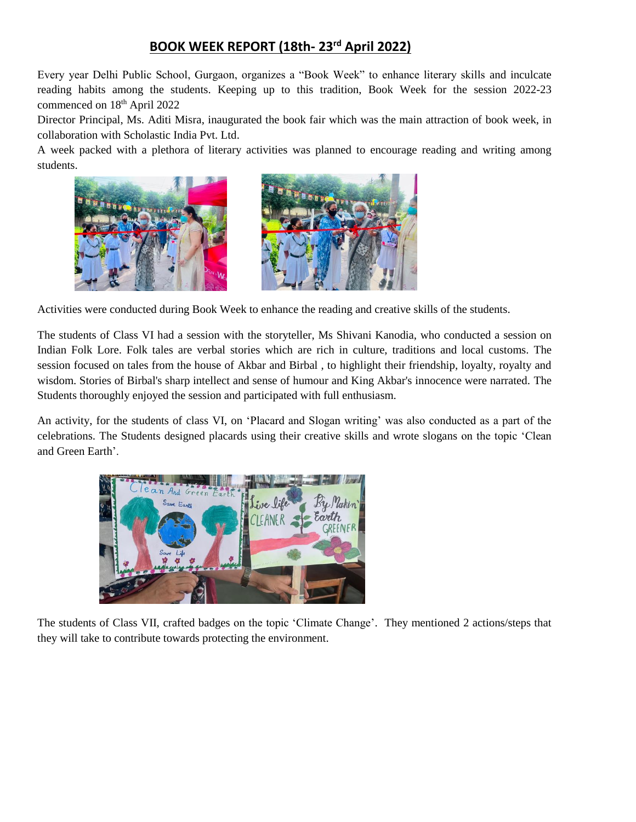## **BOOK WEEK REPORT (18th- 23rd April 2022)**

Every year Delhi Public School, Gurgaon, organizes a "Book Week" to enhance literary skills and inculcate reading habits among the students. Keeping up to this tradition, Book Week for the session 2022-23 commenced on 18<sup>th</sup> April 2022

Director Principal, Ms. Aditi Misra, inaugurated the book fair which was the main attraction of book week, in collaboration with Scholastic India Pvt. Ltd.

A week packed with a plethora of literary activities was planned to encourage reading and writing among students.





Activities were conducted during Book Week to enhance the reading and creative skills of the students.

The students of Class VI had a session with the storyteller, Ms Shivani Kanodia, who conducted a session on Indian Folk Lore. Folk tales are verbal stories which are rich in culture, traditions and local customs. The session focused on tales from the house of Akbar and Birbal , to highlight their friendship, loyalty, royalty and wisdom. Stories of Birbal's sharp intellect and sense of humour and King Akbar's innocence were narrated. The Students thoroughly enjoyed the session and participated with full enthusiasm.

An activity, for the students of class VI, on 'Placard and Slogan writing' was also conducted as a part of the celebrations. The Students designed placards using their creative skills and wrote slogans on the topic 'Clean and Green Earth'.



The students of Class VII, crafted badges on the topic 'Climate Change'. They mentioned 2 actions/steps that they will take to contribute towards protecting the environment.